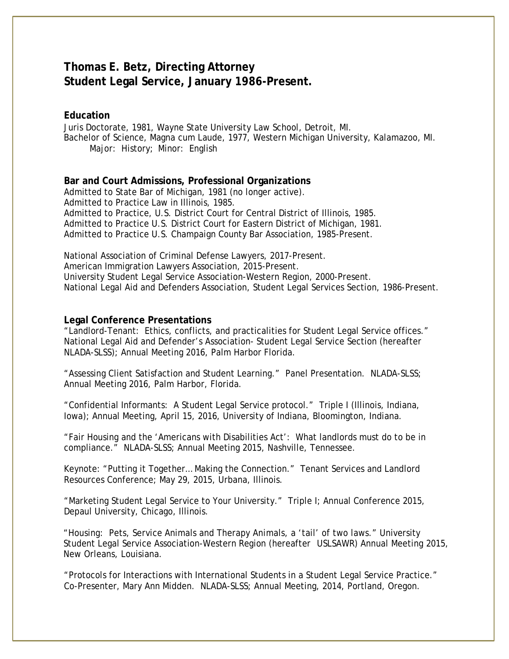# **Thomas E. Betz, Directing Attorney Student Legal Service, January 1986-Present.**

## **Education**

Juris Doctorate, 1981, Wayne State University Law School, Detroit, MI. Bachelor of Science, Magna cum Laude, 1977, Western Michigan University, Kalamazoo, MI. Major: History; Minor: English

### **Bar and Court Admissions, Professional Organizations**

Admitted to State Bar of Michigan, 1981 (no longer active). Admitted to Practice Law in Illinois, 1985. Admitted to Practice, U.S. District Court for Central District of Illinois, 1985. Admitted to Practice U.S. District Court for Eastern District of Michigan, 1981. Admitted to Practice U.S. Champaign County Bar Association, 1985-Present.

National Association of Criminal Defense Lawyers, 2017-Present. American Immigration Lawyers Association, 2015-Present. University Student Legal Service Association-Western Region, 2000-Present. National Legal Aid and Defenders Association, Student Legal Services Section, 1986-Present.

## **Legal Conference Presentations**

"Landlord-Tenant: Ethics, conflicts, and practicalities for Student Legal Service offices." National Legal Aid and Defender's Association- Student Legal Service Section (hereafter NLADA-SLSS); Annual Meeting 2016, Palm Harbor Florida.

"Assessing Client Satisfaction and Student Learning." Panel Presentation. NLADA-SLSS; Annual Meeting 2016, Palm Harbor, Florida.

"Confidential Informants: A Student Legal Service protocol." Triple I (Illinois, Indiana, Iowa); Annual Meeting, April 15, 2016, University of Indiana, Bloomington, Indiana.

"Fair Housing and the 'Americans with Disabilities Act': What landlords must do to be in compliance." NLADA-SLSS; Annual Meeting 2015, Nashville, Tennessee.

Keynote: "Putting it Together… Making the Connection." Tenant Services and Landlord Resources Conference; May 29, 2015, Urbana, Illinois.

"Marketing Student Legal Service to Your University." Triple I; Annual Conference 2015, Depaul University, Chicago, Illinois.

"Housing: Pets, Service Animals and Therapy Animals, a 'tail' of two laws." University Student Legal Service Association-Western Region (hereafter USLSAWR) Annual Meeting 2015, New Orleans, Louisiana.

"Protocols for Interactions with International Students in a Student Legal Service Practice." Co-Presenter, Mary Ann Midden. NLADA-SLSS; Annual Meeting, 2014, Portland, Oregon.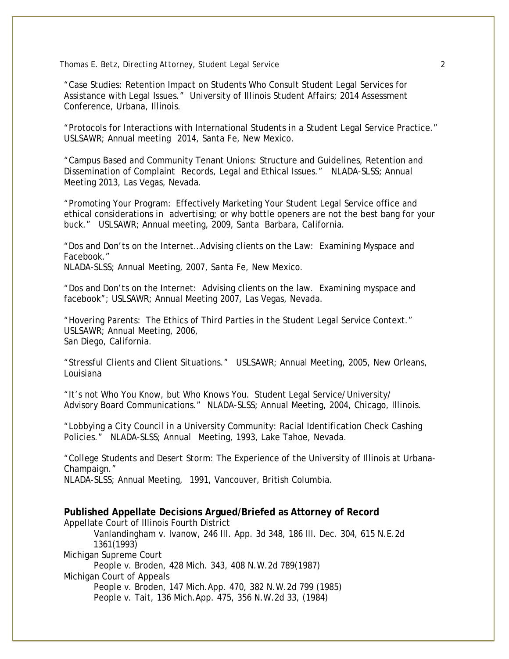#### *Thomas E. Betz, Directing Attorney, Student Legal Service 2*

"Case Studies: Retention Impact on Students Who Consult Student Legal Services for Assistance with Legal Issues." University of Illinois Student Affairs; 2014 Assessment Conference, Urbana, Illinois.

"Protocols for Interactions with International Students in a Student Legal Service Practice." USLSAWR; Annual meeting 2014, Santa Fe, New Mexico.

"Campus Based and Community Tenant Unions: Structure and Guidelines, Retention and Dissemination of Complaint Records, Legal and Ethical Issues." NLADA-SLSS; Annual Meeting 2013, Las Vegas, Nevada.

"Promoting Your Program: Effectively Marketing Your Student Legal Service office and ethical considerations in advertising; or why bottle openers are not the best bang for your buck." USLSAWR; Annual meeting, 2009, Santa Barbara, California.

"Dos and Don'ts on the Internet…Advising clients on the Law: Examining Myspace and Facebook."

NLADA-SLSS; Annual Meeting, 2007, Santa Fe, New Mexico.

"Dos and Don'ts on the Internet: Advising clients on the law. Examining myspace and facebook"; USLSAWR; Annual Meeting 2007, Las Vegas, Nevada.

"Hovering Parents: The Ethics of Third Parties in the Student Legal Service Context." USLSAWR; Annual Meeting, 2006, San Diego, California.

"Stressful Clients and Client Situations." USLSAWR; Annual Meeting, 2005, New Orleans, Louisiana

"It's not Who You Know, but Who Knows You. Student Legal Service/University/ Advisory Board Communications." NLADA-SLSS; Annual Meeting, 2004, Chicago, Illinois.

"Lobbying a City Council in a University Community: Racial Identification Check Cashing Policies." NLADA-SLSS; Annual Meeting, 1993, Lake Tahoe, Nevada.

"College Students and *Desert Storm*: The Experience of the University of Illinois at Urbana-Champaign."

NLADA-SLSS; Annual Meeting, 1991, Vancouver, British Columbia.

**Published Appellate Decisions Argued/Briefed as Attorney of Record** Appellate Court of Illinois Fourth District Vanlandingham v. Ivanow, 246 Ill. App. 3d 348, 186 Ill. Dec. 304, 615 N.E.2d 1361(1993) Michigan Supreme Court People v. Broden, 428 Mich. 343, 408 N.W.2d 789(1987) Michigan Court of Appeals People v. Broden, 147 Mich.App. 470, 382 N.W.2d 799 (1985) People v. Tait, 136 Mich.App. 475, 356 N.W.2d 33, (1984)